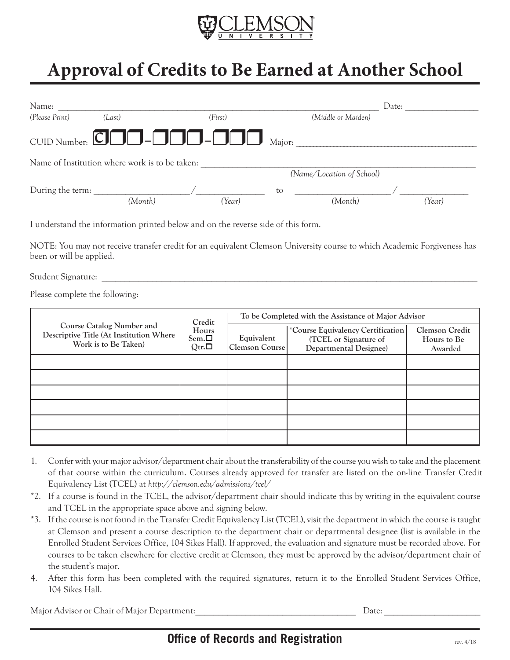

## **Approval of Credits to Be Earned at Another School**

| Name:            |                                                |                                                                                                                       |        |                    | Date:  |  |  |
|------------------|------------------------------------------------|-----------------------------------------------------------------------------------------------------------------------|--------|--------------------|--------|--|--|
| (Please Print)   | (Last)                                         | (First)                                                                                                               |        | (Middle or Maiden) |        |  |  |
|                  |                                                | CUID Number: $\boxed{\Box}$ $\boxed{\Box}$ $\boxed{\Box}$ $\boxed{\Box}$ $\boxed{\Box}$ $\boxed{\Box}$ $\boxed{\Box}$ | Major: |                    |        |  |  |
|                  | Name of Institution where work is to be taken: |                                                                                                                       |        |                    |        |  |  |
|                  |                                                | (Name/Location of School)                                                                                             |        |                    |        |  |  |
| During the term: | (Month)                                        | (Year)                                                                                                                | to     | (Month)            | (Year) |  |  |

I understand the information printed below and on the reverse side of this form.

NOTE: You may not receive transfer credit for an equivalent Clemson University course to which Academic Forgiveness has been or will be applied.

Student Signature:

Please complete the following:

|                                                                                                     | Credit<br>Hours<br>$Sem.\Box$<br>Qtr. $\Box$ | To be Completed with the Assistance of Major Advisor |                                                                                             |                                                 |  |
|-----------------------------------------------------------------------------------------------------|----------------------------------------------|------------------------------------------------------|---------------------------------------------------------------------------------------------|-------------------------------------------------|--|
| <b>Course Catalog Number and</b><br>Descriptive Title (At Institution Where<br>Work is to Be Taken) |                                              | Equivalent<br>Clemson Course                         | *Course Equivalency Certification<br>(TCEL or Signature of<br><b>Departmental Designee)</b> | <b>Clemson Credit</b><br>Hours to Be<br>Awarded |  |
|                                                                                                     |                                              |                                                      |                                                                                             |                                                 |  |
|                                                                                                     |                                              |                                                      |                                                                                             |                                                 |  |
|                                                                                                     |                                              |                                                      |                                                                                             |                                                 |  |
|                                                                                                     |                                              |                                                      |                                                                                             |                                                 |  |
|                                                                                                     |                                              |                                                      |                                                                                             |                                                 |  |
|                                                                                                     |                                              |                                                      |                                                                                             |                                                 |  |

- 1. Confer with your major advisor/department chair about the transferability of the course you wish to take and the placement of that course within the curriculum. Courses already approved for transfer are listed on the on-line Transfer Credit Equivalency List (TCEL) at *http://clemson.edu/admissions/tcel/*
- \*2. If a course is found in the TCEL, the advisor/department chair should indicate this by writing in the equivalent course and TCEL in the appropriate space above and signing below.
- \*3. If the course is not found in the Transfer Credit Equivalency List (TCEL), visit the department in which the course is taught at Clemson and present a course description to the department chair or departmental designee (list is available in the Enrolled Student Services Office, 104 Sikes Hall). If approved, the evaluation and signature must be recorded above. For courses to be taken elsewhere for elective credit at Clemson, they must be approved by the advisor/department chair of the student's major.
- 4. After this form has been completed with the required signatures, return it to the Enrolled Student Services Office, 104 Sikes Hall.

Major Advisor or Chair of Major Department:\_\_\_\_\_\_\_\_\_\_\_\_\_\_\_\_\_\_\_\_\_\_\_\_\_\_\_\_\_\_\_\_\_\_\_ Date: \_\_\_\_\_\_\_\_\_\_\_\_\_\_\_\_\_\_\_\_\_